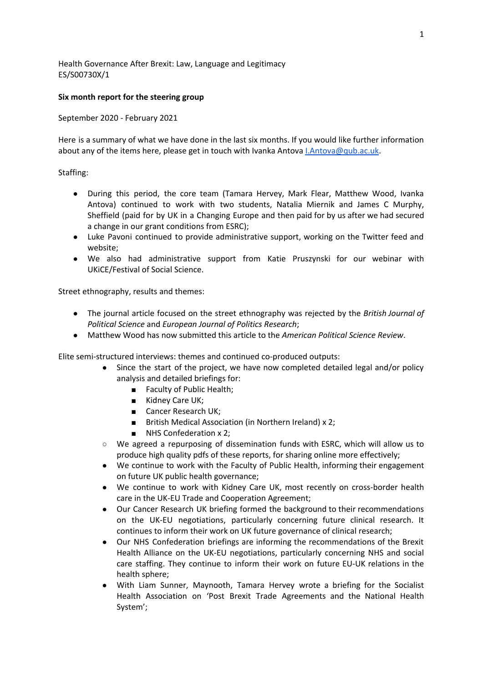Health Governance After Brexit: Law, Language and Legitimacy ES/S00730X/1

## **Six month report for the steering group**

September 2020 - February 2021

Here is a summary of what we have done in the last six months. If you would like further information about any of the items here, please get in touch with Ivanka Antova *[I.Antova@qub.ac.uk.](mailto:i.antova@qub.ac.uk)* 

## Staffing:

- During this period, the core team (Tamara Hervey, Mark Flear, Matthew Wood, Ivanka Antova) continued to work with two students, Natalia Miernik and James C Murphy, Sheffield (paid for by UK in a Changing Europe and then paid for by us after we had secured a change in our grant conditions from ESRC);
- Luke Pavoni continued to provide administrative support, working on the Twitter feed and website;
- We also had administrative support from Katie Pruszynski for our webinar with UKiCE/Festival of Social Science.

Street ethnography, results and themes:

- The journal article focused on the street ethnography was rejected by the *British Journal of Political Science* and *European Journal of Politics Research*;
- Matthew Wood has now submitted this article to the *American Political Science Review*.

Elite semi-structured interviews: themes and continued co-produced outputs:

- Since the start of the project, we have now completed detailed legal and/or policy analysis and detailed briefings for:
	- Faculty of Public Health;
	- Kidney Care UK;
	- Cancer Research UK;
	- British Medical Association (in Northern Ireland) x 2;
	- NHS Confederation x 2;
- We agreed a repurposing of dissemination funds with ESRC, which will allow us to produce high quality pdfs of these reports, for sharing online more effectively;
- We continue to work with the Faculty of Public Health, informing their engagement on future UK public health governance;
- We continue to work with Kidney Care UK, most recently on cross-border health care in the UK-EU Trade and Cooperation Agreement;
- Our Cancer Research UK briefing formed the background to their recommendations on the UK-EU negotiations, particularly concerning future clinical research. It continues to inform their work on UK future governance of clinical research;
- Our NHS Confederation briefings are informing the recommendations of the Brexit Health Alliance on the UK-EU negotiations, particularly concerning NHS and social care staffing. They continue to inform their work on future EU-UK relations in the health sphere;
- With Liam Sunner, Maynooth, Tamara Hervey wrote a briefing for the Socialist Health Association on 'Post Brexit Trade Agreements and the National Health System';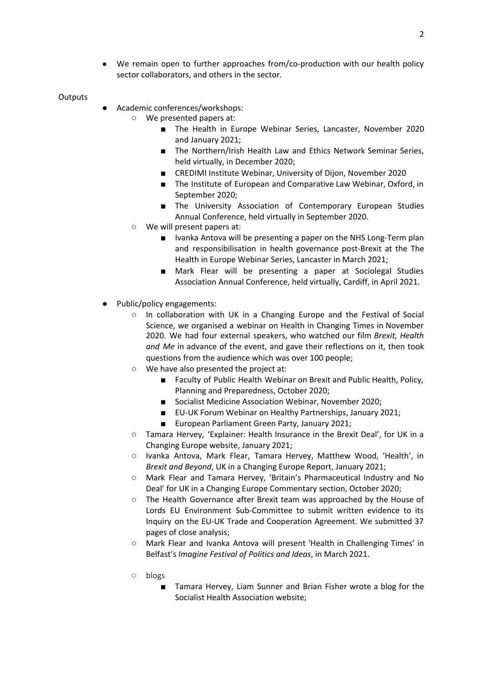● We remain open to further approaches from/co-production with our health policy sector collaborators, and others in the sector.

**Outputs** 

- Academic conferences/workshops:
	- We presented papers at:
		- The Health in Europe Webinar Series, Lancaster, November 2020 and January 2021;
		- The Northern/Irish Health Law and Ethics Network Seminar Series, held virtually, in December 2020;
		- CREDIMI Institute Webinar, University of Dijon, November 2020
		- The Institute of European and Comparative Law Webinar, Oxford, in September 2020;
		- The University Association of Contemporary European Studies Annual Conference, held virtually in September 2020.
	- We will present papers at:
		- Ivanka Antova will be presenting a paper on the NHS Long-Term plan and responsibilisation in health governance post-Brexit at the The Health in Europe Webinar Series, Lancaster in March 2021;
		- Mark Flear will be presenting a paper at Sociolegal Studies Association Annual Conference, held virtually, Cardiff, in April 2021.
- Public/policy engagements:
	- In collaboration with UK in a Changing Europe and the Festival of Social Science, we organised a webinar on Health in Changing Times in November 2020. We had four external speakers, who watched our film *Brexit, Health and Me* in advance of the event, and gave their reflections on it, then took questions from the audience which was over 100 people;
	- We have also presented the project at:
		- Faculty of Public Health Webinar on Brexit and Public Health, Policy, Planning and Preparedness, October 2020;
		- Socialist Medicine Association Webinar, November 2020;
		- EU-UK Forum Webinar on Healthy Partnerships, January 2021;
		- European Parliament Green Party, January 2021;
	- Tamara Hervey, 'Explainer: Health Insurance in the Brexit Deal', for UK in a Changing Europe website, January 2021;
	- Ivanka Antova, Mark Flear, Tamara Hervey, Matthew Wood, 'Health', in *Brexit and Beyond*, UK in a Changing Europe Report, January 2021;
	- Mark Flear and Tamara Hervey, 'Britain's Pharmaceutical Industry and No Deal' for UK in a Changing Europe Commentary section, October 2020;
	- The Health Governance after Brexit team was approached by the House of Lords EU Environment Sub-Committee to submit written evidence to its Inquiry on the EU-UK Trade and Cooperation Agreement. We submitted 37 pages of close analysis;
	- Mark Flear and Ivanka Antova will present 'Health in Challenging Times' in Belfast's *Imagine Festival of Politics and Ideas*, in March 2021.
	- blogs
		- Tamara Hervey, Liam Sunner and Brian Fisher wrote a blog for the Socialist Health Association website;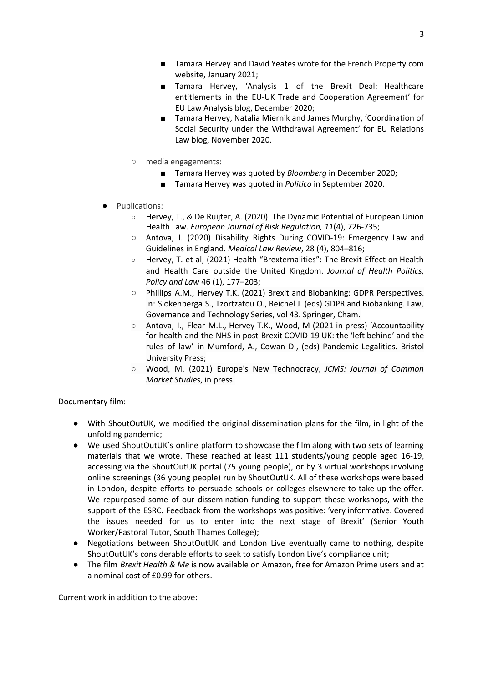- Tamara Hervey, 'Analysis 1 of the Brexit Deal: Healthcare entitlements in the EU-UK Trade and Cooperation Agreement' for EU Law Analysis blog, December 2020;
- Tamara Hervey, Natalia Miernik and James Murphy, 'Coordination of Social Security under the Withdrawal Agreement' for EU Relations Law blog, November 2020.
- media engagements:
	- Tamara Hervey was quoted by *Bloomberg* in December 2020;
	- Tamara Hervey was quoted in *Politico* in September 2020.
- Publications:
	- Hervey, T., & De Ruijter, A. (2020). The Dynamic Potential of European Union Health Law. *European Journal of Risk Regulation, 11*(4), 726-735;
	- Antova, I. (2020) Disability Rights During COVID-19: Emergency Law and Guidelines in England. *Medical Law Review*, 28 (4), 804–816;
	- Hervey, T. et al, (2021) Health "Brexternalities": The Brexit Effect on Health and Health Care outside the United Kingdom. *Journal of Health Politics, Policy and Law* 46 (1), 177–203;
	- Phillips A.M., Hervey T.K. (2021) Brexit and Biobanking: GDPR Perspectives. In: Slokenberga S., Tzortzatou O., Reichel J. (eds) GDPR and Biobanking. Law, Governance and Technology Series, vol 43. Springer, Cham.
	- Antova, I., Flear M.L., Hervey T.K., Wood, M (2021 in press) 'Accountability for health and the NHS in post-Brexit COVID-19 UK: the 'left behind' and the rules of law' in Mumford, A., Cowan D., (eds) Pandemic Legalities. Bristol University Press;
	- Wood, M. (2021) Europe's New Technocracy, *JCMS: Journal of Common Market Studie*s, in press.

Documentary film:

- With ShoutOutUK, we modified the original dissemination plans for the film, in light of the unfolding pandemic;
- We used ShoutOutUK's online platform to showcase the film along with two sets of learning materials that we wrote. These reached at least 111 students/young people aged 16-19, accessing via the ShoutOutUK portal (75 young people), or by 3 virtual workshops involving online screenings (36 young people) run by ShoutOutUK. All of these workshops were based in London, despite efforts to persuade schools or colleges elsewhere to take up the offer. We repurposed some of our dissemination funding to support these workshops, with the support of the ESRC. Feedback from the workshops was positive: 'very informative. Covered the issues needed for us to enter into the next stage of Brexit' (Senior Youth Worker/Pastoral Tutor, South Thames College);
- Negotiations between ShoutOutUK and London Live eventually came to nothing, despite ShoutOutUK's considerable efforts to seek to satisfy London Live's compliance unit;
- The film *Brexit Health & Me* is now available on Amazon, free for Amazon Prime users and at a nominal cost of £0.99 for others.

Current work in addition to the above: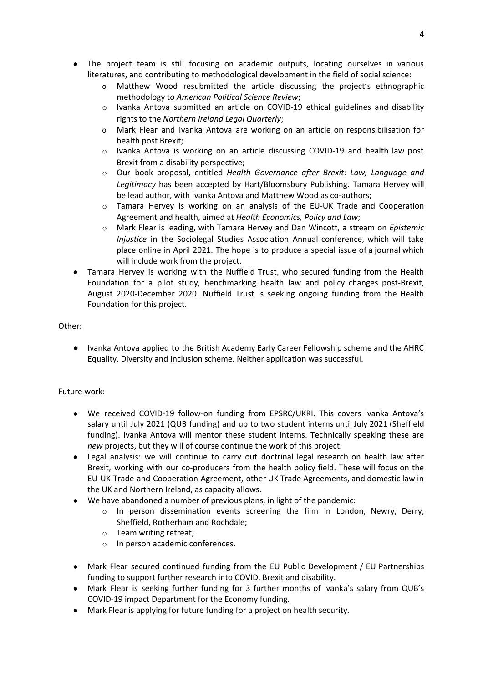- The project team is still focusing on academic outputs, locating ourselves in various literatures, and contributing to methodological development in the field of social science:
	- Matthew Wood resubmitted the article discussing the project's ethnographic methodology to *American Political Science Review*;
	- o Ivanka Antova submitted an article on COVID-19 ethical guidelines and disability rights to the *Northern Ireland Legal Quarterly*;
	- o Mark Flear and Ivanka Antova are working on an article on responsibilisation for health post Brexit;
	- o Ivanka Antova is working on an article discussing COVID-19 and health law post Brexit from a disability perspective;
	- o Our book proposal, entitled *Health Governance after Brexit: Law, Language and Legitimacy* has been accepted by Hart/Bloomsbury Publishing. Tamara Hervey will be lead author, with Ivanka Antova and Matthew Wood as co-authors;
	- $\circ$  Tamara Hervey is working on an analysis of the EU-UK Trade and Cooperation Agreement and health, aimed at *Health Economics, Policy and Law*;
	- o Mark Flear is leading, with Tamara Hervey and Dan Wincott, a stream on *Epistemic Injustice* in the Sociolegal Studies Association Annual conference, which will take place online in April 2021. The hope is to produce a special issue of a journal which will include work from the project.
- Tamara Hervey is working with the Nuffield Trust, who secured funding from the Health Foundation for a pilot study, benchmarking health law and policy changes post-Brexit, August 2020-December 2020. Nuffield Trust is seeking ongoing funding from the Health Foundation for this project.

## Other:

● Ivanka Antova applied to the British Academy Early Career Fellowship scheme and the AHRC Equality, Diversity and Inclusion scheme. Neither application was successful.

## Future work:

- We received COVID-19 follow-on funding from EPSRC/UKRI. This covers Ivanka Antova's salary until July 2021 (QUB funding) and up to two student interns until July 2021 (Sheffield funding). Ivanka Antova will mentor these student interns. Technically speaking these are *new* projects, but they will of course continue the work of this project.
- Legal analysis: we will continue to carry out doctrinal legal research on health law after Brexit, working with our co-producers from the health policy field. These will focus on the EU-UK Trade and Cooperation Agreement, other UK Trade Agreements, and domestic law in the UK and Northern Ireland, as capacity allows.
- We have abandoned a number of previous plans, in light of the pandemic:
	- o In person dissemination events screening the film in London, Newry, Derry, Sheffield, Rotherham and Rochdale;
	- o Team writing retreat;
	- o In person academic conferences.
- Mark Flear secured continued funding from the EU Public Development / EU Partnerships funding to support further research into COVID, Brexit and disability.
- Mark Flear is seeking further funding for 3 further months of Ivanka's salary from QUB's COVID-19 impact Department for the Economy funding.
- Mark Flear is applying for future funding for a project on health security.